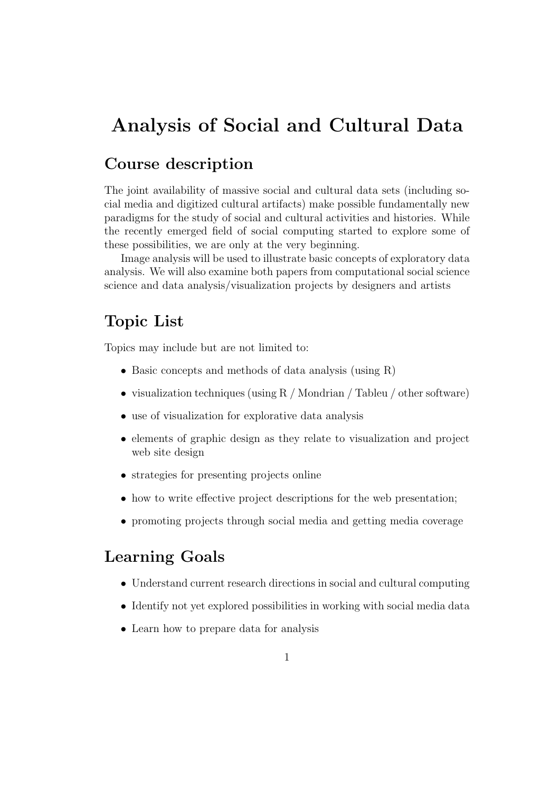# Analysis of Social and Cultural Data

### Course description

The joint availability of massive social and cultural data sets (including social media and digitized cultural artifacts) make possible fundamentally new paradigms for the study of social and cultural activities and histories. While the recently emerged field of social computing started to explore some of these possibilities, we are only at the very beginning.

Image analysis will be used to illustrate basic concepts of exploratory data analysis. We will also examine both papers from computational social science science and data analysis/visualization projects by designers and artists

## Topic List

Topics may include but are not limited to:

- Basic concepts and methods of data analysis (using R)
- visualization techniques (using R / Mondrian / Tableu / other software)
- use of visualization for explorative data analysis
- elements of graphic design as they relate to visualization and project web site design
- strategies for presenting projects online
- how to write effective project descriptions for the web presentation;
- promoting projects through social media and getting media coverage

### Learning Goals

- Understand current research directions in social and cultural computing
- Identify not yet explored possibilities in working with social media data
- Learn how to prepare data for analysis